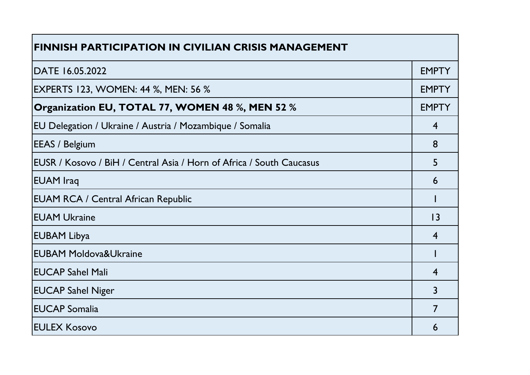| <b>FINNISH PARTICIPATION IN CIVILIAN CRISIS MANAGEMENT</b>           |                 |
|----------------------------------------------------------------------|-----------------|
| DATE 16.05.2022                                                      | <b>EMPTY</b>    |
| <b>EXPERTS 123, WOMEN: 44 %, MEN: 56 %</b>                           | <b>EMPTY</b>    |
| Organization EU, TOTAL 77, WOMEN 48 %, MEN 52 %                      | <b>EMPTY</b>    |
| EU Delegation / Ukraine / Austria / Mozambique / Somalia             | $\overline{4}$  |
| <b>EEAS / Belgium</b>                                                | 8               |
| EUSR / Kosovo / BiH / Central Asia / Horn of Africa / South Caucasus | 5               |
| <b>EUAM</b> Iraq                                                     | 6               |
| <b>EUAM RCA / Central African Republic</b>                           |                 |
| <b>EUAM Ukraine</b>                                                  | $\overline{13}$ |
| <b>EUBAM Libya</b>                                                   | $\overline{4}$  |
| <b>EUBAM Moldova&amp;Ukraine</b>                                     |                 |
| <b>EUCAP Sahel Mali</b>                                              | $\overline{4}$  |
| <b>EUCAP Sahel Niger</b>                                             | 3               |
| <b>EUCAP Somalia</b>                                                 | $\overline{7}$  |
| <b>IEULEX Kosovo</b>                                                 | 6               |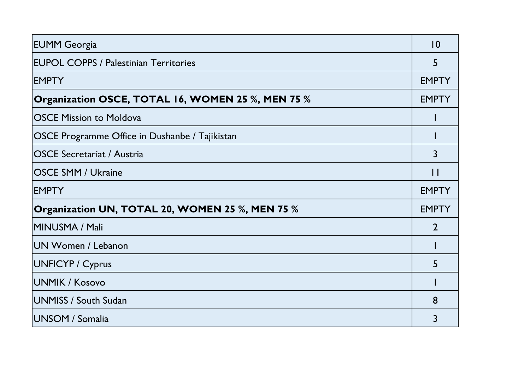| <b>EUMM Georgia</b>                               | 10             |
|---------------------------------------------------|----------------|
| <b>EUPOL COPPS / Palestinian Territories</b>      | 5              |
| <b>EMPTY</b>                                      | <b>EMPTY</b>   |
| Organization OSCE, TOTAL 16, WOMEN 25 %, MEN 75 % | <b>EMPTY</b>   |
| <b>OSCE Mission to Moldova</b>                    |                |
| OSCE Programme Office in Dushanbe / Tajikistan    |                |
| <b>OSCE Secretariat / Austria</b>                 | 3              |
| <b>OSCE SMM / Ukraine</b>                         | $\mathbf{1}$   |
| <b>EMPTY</b>                                      | <b>EMPTY</b>   |
| Organization UN, TOTAL 20, WOMEN 25 %, MEN 75 %   | <b>EMPTY</b>   |
| MINUSMA / Mali                                    | $\mathfrak{D}$ |
| UN Women / Lebanon                                |                |
| <b>UNFICYP / Cyprus</b>                           | 5              |
| UNMIK / Kosovo                                    |                |
| UNMISS / South Sudan                              | 8              |
| UNSOM / Somalia                                   | 3              |